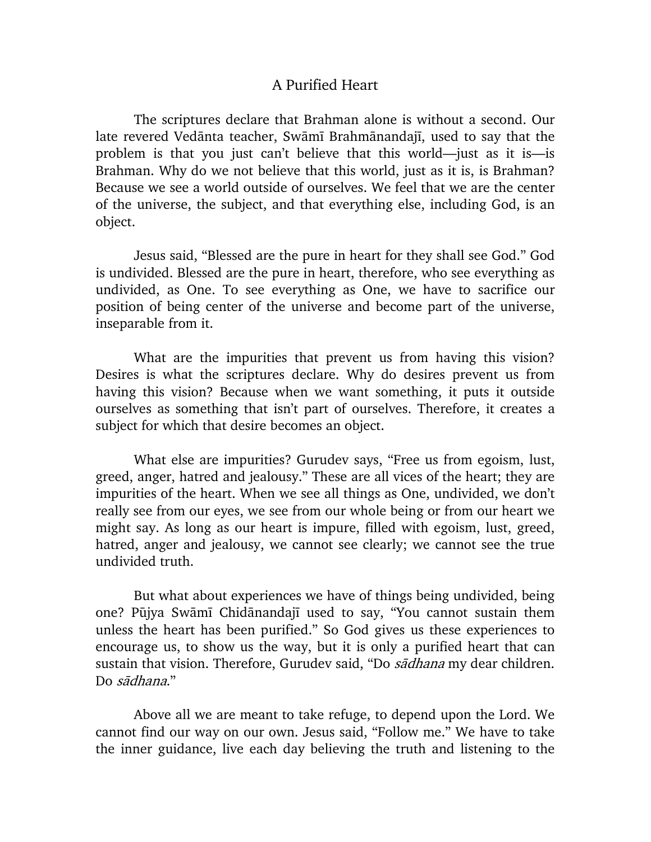## A Purified Heart

The scriptures declare that Brahman alone is without a second. Our late revered Vedānta teacher, Swāmī Brahmānandajī, used to say that the problem is that you just can't believe that this world—just as it is—is Brahman. Why do we not believe that this world, just as it is, is Brahman? Because we see a world outside of ourselves. We feel that we are the center of the universe, the subject, and that everything else, including God, is an object.

Jesus said, "Blessed are the pure in heart for they shall see God." God is undivided. Blessed are the pure in heart, therefore, who see everything as undivided, as One. To see everything as One, we have to sacrifice our position of being center of the universe and become part of the universe, inseparable from it.

What are the impurities that prevent us from having this vision? Desires is what the scriptures declare. Why do desires prevent us from having this vision? Because when we want something, it puts it outside ourselves as something that isn't part of ourselves. Therefore, it creates a subject for which that desire becomes an object.

What else are impurities? Gurudev says, "Free us from egoism, lust, greed, anger, hatred and jealousy." These are all vices of the heart; they are impurities of the heart. When we see all things as One, undivided, we don't really see from our eyes, we see from our whole being or from our heart we might say. As long as our heart is impure, filled with egoism, lust, greed, hatred, anger and jealousy, we cannot see clearly; we cannot see the true undivided truth.

But what about experiences we have of things being undivided, being one? Pūjya Swāmī Chidānandajī used to say, "You cannot sustain them unless the heart has been purified." So God gives us these experiences to encourage us, to show us the way, but it is only a purified heart that can sustain that vision. Therefore, Gurudev said, "Do sadhana my dear children. Do  $s\bar{a}dhana$ ."

Above all we are meant to take refuge, to depend upon the Lord. We cannot find our way on our own. Jesus said, "Follow me." We have to take the inner guidance, live each day believing the truth and listening to the